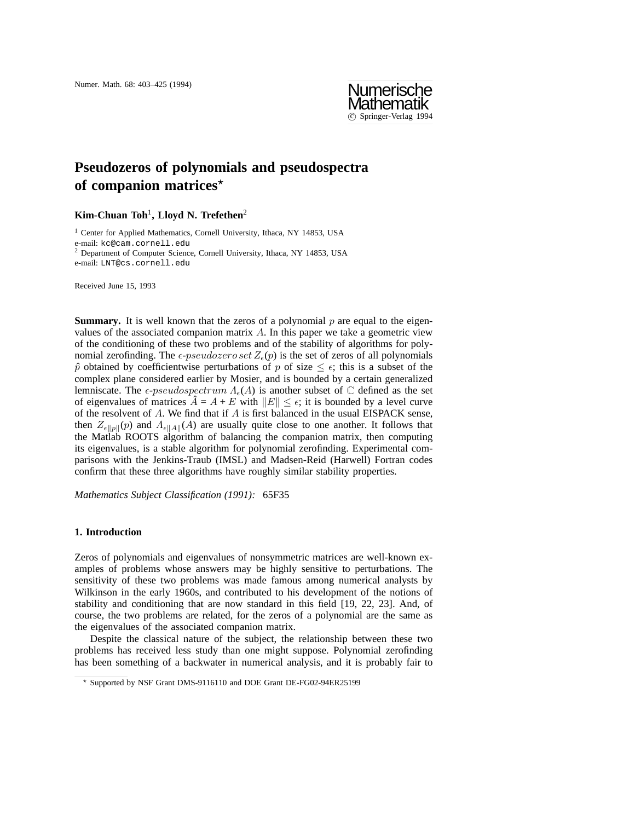

# **Pseudozeros of polynomials and pseudospectra of companion matrices***?*

## **Kim-Chuan Toh**<sup>1</sup>**, Lloyd N. Trefethen**<sup>2</sup>

<sup>1</sup> Center for Applied Mathematics, Cornell University, Ithaca, NY 14853, USA e-mail: kc@cam.cornell.edu <sup>2</sup> Department of Computer Science, Cornell University, Ithaca, NY 14853, USA e-mail: LNT@cs.cornell.edu

Received June 15, 1993

**Summary.** It is well known that the zeros of a polynomial p are equal to the eigenvalues of the associated companion matrix *A*. In this paper we take a geometric view of the conditioning of these two problems and of the stability of algorithms for polynomial zerofinding. The  $\epsilon$ -*pseudozero set*  $Z_{\epsilon}(p)$  is the set of zeros of all polynomials  $\hat{p}$  obtained by coefficientwise perturbations of *p* of size  $\leq \epsilon$ ; this is a subset of the complex plane considered earlier by Mosier, and is bounded by a certain generalized lemniscate. The  $\epsilon$ -pseudospectrum  $\Lambda_{\epsilon}(A)$  is another subset of  $\mathbb C$  defined as the set of eigenvalues of matrices  $\hat{A} = A + E$  with  $||E|| \leq \epsilon$ ; it is bounded by a level curve of the resolvent of *A*. We find that if *A* is first balanced in the usual EISPACK sense, then  $Z_{\epsilon||p||}(p)$  and  $\Lambda_{\epsilon||A||}(A)$  are usually quite close to one another. It follows that the Matlab ROOTS algorithm of balancing the companion matrix, then computing its eigenvalues, is a stable algorithm for polynomial zerofinding. Experimental comparisons with the Jenkins-Traub (IMSL) and Madsen-Reid (Harwell) Fortran codes confirm that these three algorithms have roughly similar stability properties.

*Mathematics Subject Classification (1991):* 65F35

### **1. Introduction**

Zeros of polynomials and eigenvalues of nonsymmetric matrices are well-known examples of problems whose answers may be highly sensitive to perturbations. The sensitivity of these two problems was made famous among numerical analysts by Wilkinson in the early 1960s, and contributed to his development of the notions of stability and conditioning that are now standard in this field [19, 22, 23]. And, of course, the two problems are related, for the zeros of a polynomial are the same as the eigenvalues of the associated companion matrix.

Despite the classical nature of the subject, the relationship between these two problems has received less study than one might suppose. Polynomial zerofinding has been something of a backwater in numerical analysis, and it is probably fair to

*<sup>?</sup>* Supported by NSF Grant DMS-9116110 and DOE Grant DE-FG02-94ER25199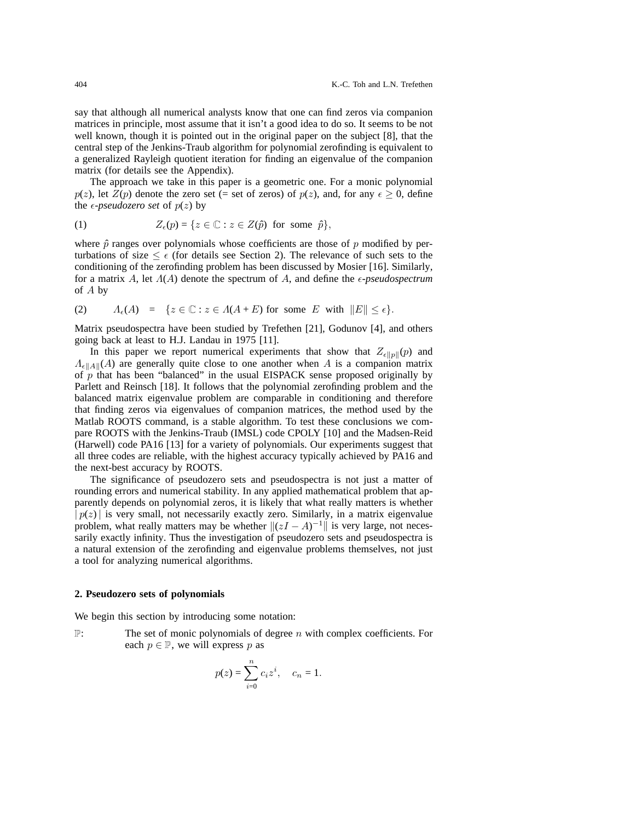say that although all numerical analysts know that one can find zeros via companion matrices in principle, most assume that it isn't a good idea to do so. It seems to be not well known, though it is pointed out in the original paper on the subject [8], that the central step of the Jenkins-Traub algorithm for polynomial zerofinding is equivalent to a generalized Rayleigh quotient iteration for finding an eigenvalue of the companion matrix (for details see the Appendix).

The approach we take in this paper is a geometric one. For a monic polynomial *p*(*z*), let *Z*(*p*) denote the zero set (= set of zeros) of *p*(*z*), and, for any  $\epsilon \geq 0$ , define the  $\epsilon$ -*pseudozero set* of  $p(z)$  by

(1) 
$$
Z_{\epsilon}(p) = \{ z \in \mathbb{C} : z \in Z(\hat{p}) \text{ for some } \hat{p} \},
$$

where  $\hat{p}$  ranges over polynomials whose coefficients are those of  $p$  modified by perturbations of size  $\leq \epsilon$  (for details see Section 2). The relevance of such sets to the conditioning of the zerofinding problem has been discussed by Mosier [16]. Similarly, for a matrix *A*, let  $\Lambda(A)$  denote the spectrum of *A*, and define the  $\epsilon$ -*pseudospectrum* of *A* by

(2) 
$$
A_{\epsilon}(A) = \{ z \in \mathbb{C} : z \in A(A+E) \text{ for some } E \text{ with } ||E|| \leq \epsilon \}.
$$

Matrix pseudospectra have been studied by Trefethen [21], Godunov [4], and others going back at least to H.J. Landau in 1975 [11].

In this paper we report numerical experiments that show that  $Z_{\epsilon \|p\|}(p)$  and  $\Lambda_{\epsilon}$ <sub>*A*</sub><sup>*A*</sup> $\Lambda$ <sup>*A*</sup> $\Lambda$ <sup>*A*</sup> are generally quite close to one another when *A* is a companion matrix of  $p$  that has been "balanced" in the usual EISPACK sense proposed originally by Parlett and Reinsch [18]. It follows that the polynomial zerofinding problem and the balanced matrix eigenvalue problem are comparable in conditioning and therefore that finding zeros via eigenvalues of companion matrices, the method used by the Matlab ROOTS command, is a stable algorithm. To test these conclusions we compare ROOTS with the Jenkins-Traub (IMSL) code CPOLY [10] and the Madsen-Reid (Harwell) code PA16 [13] for a variety of polynomials. Our experiments suggest that all three codes are reliable, with the highest accuracy typically achieved by PA16 and the next-best accuracy by ROOTS.

The significance of pseudozero sets and pseudospectra is not just a matter of rounding errors and numerical stability. In any applied mathematical problem that apparently depends on polynomial zeros, it is likely that what really matters is whether  $|p(z)|$  is very small, not necessarily exactly zero. Similarly, in a matrix eigenvalue problem, what really matters may be whether  $\|(zI - A)^{-1}\|$  is very large, not necessarily exactly infinity. Thus the investigation of pseudozero sets and pseudospectra is a natural extension of the zerofinding and eigenvalue problems themselves, not just a tool for analyzing numerical algorithms.

#### **2. Pseudozero sets of polynomials**

We begin this section by introducing some notation:

P: The set of monic polynomials of degree *n* with complex coefficients. For each  $p \in \mathbb{P}$ , we will express p as

$$
p(z) = \sum_{i=0}^{n} c_i z^i
$$
,  $c_n = 1$ .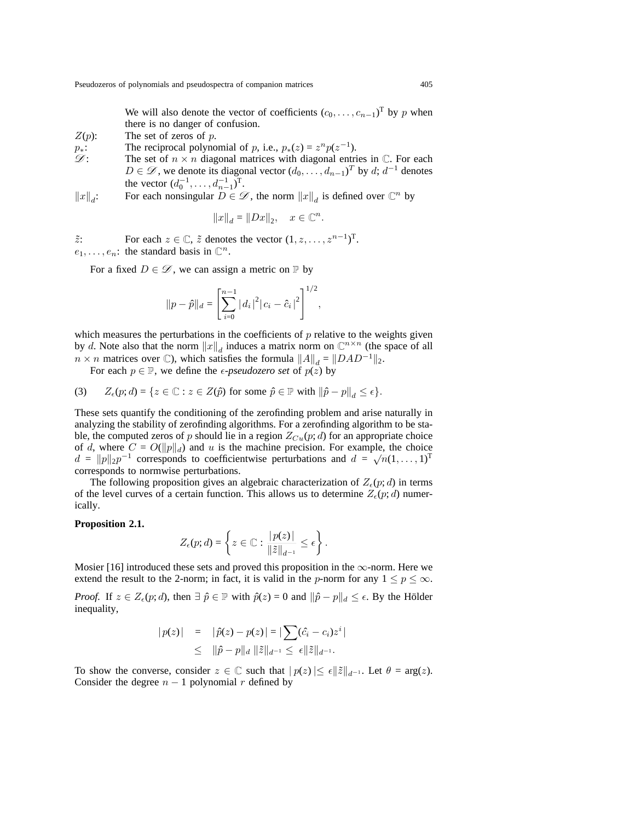We will also denote the vector of coefficients  $(c_0, \ldots, c_{n-1})^T$  by *p* when there is no danger of confusion.

- *Z*(*p*): The set of zeros of *p*.
- *p*<sup>*∗*: The reciprocal polynomial of *p*, i.e.,  $p_*(z) = z^n p(z^{-1})$ .<br> *Q*: The set of  $n \times n$  diagonal matrices with diagonal entri-</sup>
- The set of  $n \times n$  diagonal matrices with diagonal entries in  $\mathbb{C}$ . For each *D* ∈  $\mathscr{D}$ , we denote its diagonal vector  $(d_0, \ldots, d_{n-1})^T$  by *d*; *d*<sup>−1</sup> denotes the vector  $(d_0^{-1}, \ldots, d_{n-1}^{-1})^T$ .
- $\|x\|_d$ : For each nonsingular  $D \in \mathscr{D}$ , the norm  $\|x\|_d$  is defined over  $\mathbb{C}^n$  by

$$
||x||_d = ||Dx||_2, \quad x \in \mathbb{C}^n.
$$

*z*: For each  $z \in \mathbb{C}$ ,  $\tilde{z}$  denotes the vector  $(1, z, \ldots, z^{n-1})^{\text{T}}$ .  $e_1, \ldots, e_n$ : the standard basis in  $\mathbb{C}^n$ .

For a fixed  $D \in \mathcal{D}$ , we can assign a metric on  $\mathbb{P}$  by

$$
||p - \hat{p}||_d = \left[\sum_{i=0}^{n-1} |d_i|^2 |c_i - \hat{c}_i|^2\right]^{1/2},
$$

which measures the perturbations in the coefficients of *p* relative to the weights given by *d*. Note also that the norm  $||x||_d$  induces a matrix norm on  $\mathbb{C}^{n \times n}$  (the space of all  $n \times n$  matrices over  $\mathbb{C}$ ), which satisfies the formula  $||A||_d = ||DAD^{-1}||_2$ .

For each  $p \in \mathbb{P}$ , we define the *e-pseudozero set* of  $p(z)$  by

(3) 
$$
Z_{\epsilon}(p;d) = \{ z \in \mathbb{C} : z \in Z(\hat{p}) \text{ for some } \hat{p} \in \mathbb{P} \text{ with } ||\hat{p} - p||_{d} \leq \epsilon \}.
$$

These sets quantify the conditioning of the zerofinding problem and arise naturally in analyzing the stability of zerofinding algorithms. For a zerofinding algorithm to be stable, the computed zeros of  $p$  should lie in a region  $Z_{Cu}(p; d)$  for an appropriate choice of *d*, where  $C = O(|p||_d)$  and *u* is the machine precision. For example, the choice  $d = ||p||_2 p^{-1}$  corresponds to coefficientwise perturbations and  $d = \sqrt{n}(1, \ldots, 1)^T$ corresponds to normwise perturbations.

The following proposition gives an algebraic characterization of  $Z_{\epsilon}(p; d)$  in terms of the level curves of a certain function. This allows us to determine  $Z_{\epsilon}(p; d)$  numerically.

## **Proposition 2.1.**

$$
Z_{\epsilon}(p;d) = \left\{ z \in \mathbb{C} : \frac{|p(z)|}{\|\tilde{z}\|_{d^{-1}}} \leq \epsilon \right\}.
$$

Mosier [16] introduced these sets and proved this proposition in the *∞*-norm. Here we extend the result to the 2-norm; in fact, it is valid in the *p*-norm for any  $1 \le p \le \infty$ .

*Proof.* If  $z \in Z_{\epsilon}(p; d)$ , then  $\exists \hat{p} \in \mathbb{P}$  with  $\hat{p}(z) = 0$  and  $\|\hat{p} - p\|_d \leq \epsilon$ . By the Hölder inequality,

$$
|p(z)| = |\hat{p}(z) - p(z)| = |\sum(\hat{c}_i - c_i)z^i|
$$
  
\n
$$
\leq ||\hat{p} - p||_d ||\tilde{z}||_{d^{-1}} \leq \epsilon ||\tilde{z}||_{d^{-1}}.
$$

To show the converse, consider  $z \in \mathbb{C}$  such that  $|p(z)| \leq \epsilon ||\tilde{z}||_{d^{-1}}$ . Let  $\theta = \arg(z)$ . Consider the degree  $n-1$  polynomial  $r$  defined by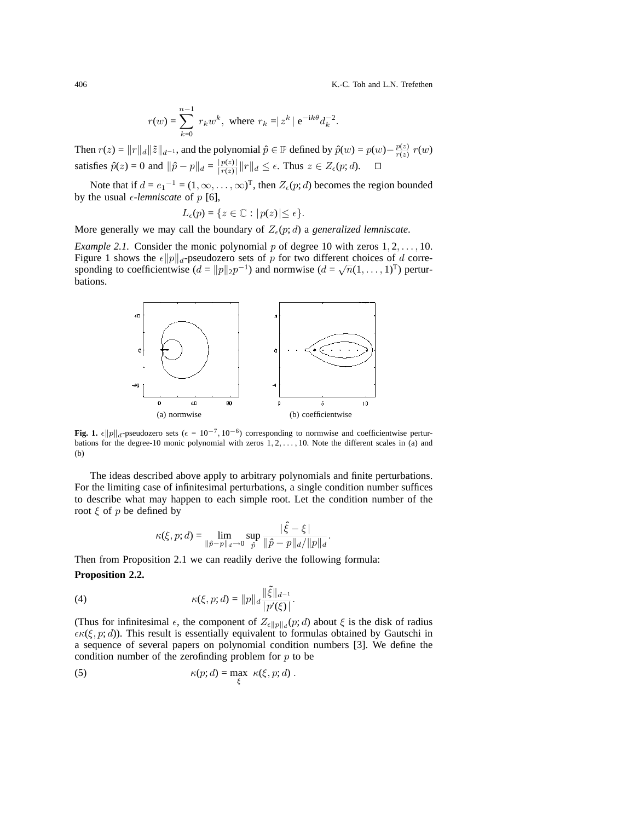406 K.-C. Toh and L.N. Trefethen

$$
r(w) = \sum_{k=0}^{n-1} r_k w^k
$$
, where  $r_k = |z^k| e^{-ik\theta} d_k^{-2}$ .

Then  $r(z) = ||r||_d ||\tilde{z}||_{d^{-1}}$ , and the polynomial  $\hat{p} \in \mathbb{P}$  defined by  $\hat{p}(w) = p(w) - \frac{p(z)}{r(z)} r(w)$ satisfies  $\hat{p}(z) = 0$  and  $\|\hat{p} - p\|_d = \frac{|p(z)|}{|r(z)|} \|r\|_d \le \epsilon$ . Thus  $z \in Z_{\epsilon}(p; d)$ .  $\square$ 

Note that if  $d = e_1^{-1} = (1, \infty, \dots, \infty)^T$ , then  $Z_{\epsilon}(p; d)$  becomes the region bounded by the usual  $\epsilon$ -*lemniscate* of  $p$  [6],

$$
L_{\epsilon}(p) = \{ z \in \mathbb{C} : |p(z)| \leq \epsilon \}.
$$

More generally we may call the boundary of  $Z_{\epsilon}(p; d)$  a *generalized lemniscate*.

*Example 2.1.* Consider the monic polynomial *p* of degree 10 with zeros 1*,* 2*,...,* 10. Figure 1 shows the  $\epsilon \|p\|_d$ -pseudozero sets of *p* for two different choices of *d* corresponding to coefficientwise  $(d = ||p||_2 p^{-1})$  and normwise  $(d = \sqrt{n}(1, \ldots, 1)^T)$  perturbations.



**Fig. 1.**  $\epsilon \|p\|_d$ -pseudozero sets ( $\epsilon = 10^{-7}, 10^{-6}$ ) corresponding to normwise and coefficientwise perturbations for the degree-10 monic polynomial with zeros 1, 2,..., 10. Note the different scales in (a) and (b)

The ideas described above apply to arbitrary polynomials and finite perturbations. For the limiting case of infinitesimal perturbations, a single condition number suffices to describe what may happen to each simple root. Let the condition number of the root *ξ* of *p* be defined by

$$
\kappa(\xi, p; d) = \lim_{\|\hat{p} - p\|_d \to 0} \sup_{\hat{p}} \frac{|\hat{\xi} - \xi|}{\|\hat{p} - p\|_d / \|p\|_d}.
$$

Then from Proposition 2.1 we can readily derive the following formula:

## **Proposition 2.2.**

(4) 
$$
\kappa(\xi, p; d) = ||p||_d \frac{||\tilde{\xi}||_{d^{-1}}}{|p'(\xi)|}.
$$

(Thus for infinitesimal  $\epsilon$ , the component of  $Z_{\epsilon||p||_d}(p; d)$  about  $\xi$  is the disk of radius  $\epsilon \kappa(\xi, p; d)$ ). This result is essentially equivalent to formulas obtained by Gautschi in a sequence of several papers on polynomial condition numbers [3]. We define the condition number of the zerofinding problem for *p* to be

(5) 
$$
\kappa(p; d) = \max_{\xi} \ \kappa(\xi, p; d) .
$$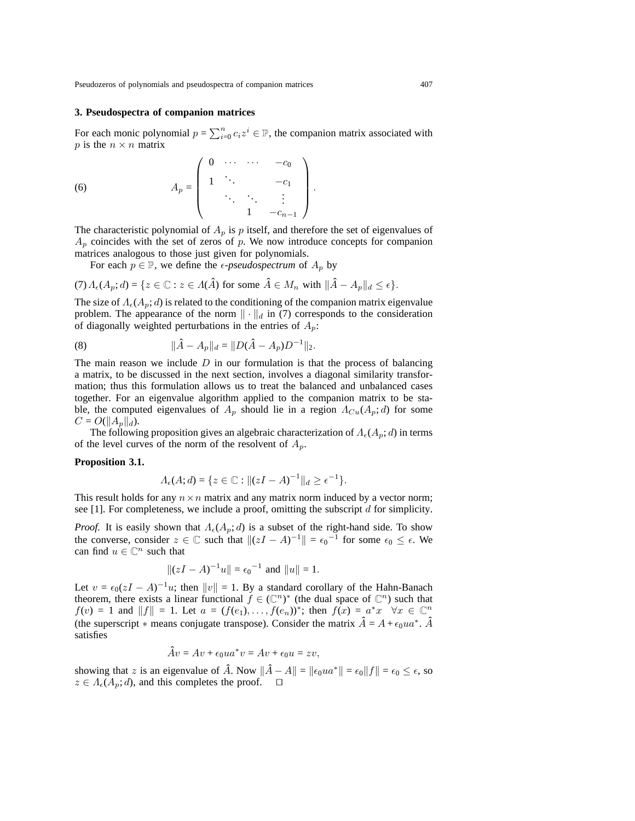Pseudozeros of polynomials and pseudospectra of companion matrices 407

## **3. Pseudospectra of companion matrices**

For each monic polynomial  $p = \sum_{i=0}^{n} c_i z^i \in \mathbb{P}$ , the companion matrix associated with *p* is the  $n \times n$  matrix

 $A_p =$  $\sqrt{ }$  $\overline{\phantom{a}}$ 0 *··· ··· −c*<sup>0</sup> 1  $\therefore$   $-c_1$ ... ... . . . <sup>1</sup> *<sup>−</sup>c<sup>n</sup>−*<sup>1</sup>  $\setminus$ (6)  $A_p = \begin{bmatrix} 1 & \cdots & -c_1 \\ \vdots & \vdots & \vdots \\ 1 & \cdots & 1 \end{bmatrix}$ .

The characteristic polynomial of  $A_p$  is  $p$  itself, and therefore the set of eigenvalues of  $A_p$  coincides with the set of zeros of  $p$ . We now introduce concepts for companion matrices analogous to those just given for polynomials.

For each  $p \in \mathbb{P}$ , we define the *e-pseudospectrum* of  $A_p$  by

$$
(7) \Lambda_{\epsilon}(A_p; d) = \{ z \in \mathbb{C} : z \in \Lambda(\hat{A}) \text{ for some } \hat{A} \in M_n \text{ with } ||\hat{A} - A_p||_d \leq \epsilon \}.
$$

The size of  $\Lambda_{\epsilon}(A_p; d)$  is related to the conditioning of the companion matrix eigenvalue problem. The appearance of the norm  $\|\cdot\|_d$  in (7) corresponds to the consideration of diagonally weighted perturbations in the entries of *Ap*:

(8) 
$$
\|\hat{A} - A_p\|_d = \|D(\hat{A} - A_p)D^{-1}\|_2.
$$

The main reason we include *D* in our formulation is that the process of balancing a matrix, to be discussed in the next section, involves a diagonal similarity transformation; thus this formulation allows us to treat the balanced and unbalanced cases together. For an eigenvalue algorithm applied to the companion matrix to be stable, the computed eigenvalues of  $A_p$  should lie in a region  $\Lambda_{Cu}(A_p; d)$  for some  $C = O(||A_p||_d)$ .

The following proposition gives an algebraic characterization of  $\Lambda_{\epsilon}(A_p; d)$  in terms of the level curves of the norm of the resolvent of  $A_p$ .

## **Proposition 3.1.**

$$
\Lambda_{\epsilon}(A; d) = \{ z \in \mathbb{C} : ||(zI - A)^{-1}||_{d} \ge \epsilon^{-1} \}.
$$

This result holds for any  $n \times n$  matrix and any matrix norm induced by a vector norm; see [1]. For completeness, we include a proof, omitting the subscript *d* for simplicity.

*Proof.* It is easily shown that  $\Lambda_{\epsilon}(A_p; d)$  is a subset of the right-hand side. To show the converse, consider  $z \in \mathbb{C}$  such that  $\|(zI - A)^{-1}\| = \epsilon_0^{-1}$  for some  $\epsilon_0 \leq \epsilon$ . We can find  $u \in \mathbb{C}^n$  such that

$$
||(zI - A)^{-1}u|| = \epsilon_0^{-1}
$$
 and  $||u|| = 1$ .

Let  $v = \epsilon_0(zI - A)^{-1}u$ ; then  $||v|| = 1$ . By a standard corollary of the Hahn-Banach theorem, there exists a linear functional  $\tilde{f} \in (\mathbb{C}^n)^*$  (the dual space of  $\mathbb{C}^n$ ) such that  $f(v) = 1$  and  $||f|| = 1$ . Let  $a = (f(e_1), \ldots, f(e_n))^*$ ; then  $f(x) = a^*x \quad \forall x \in \mathbb{C}^n$ (the superscript  $*$  means conjugate transpose). Consider the matrix  $\hat{A} = A + \epsilon_0 u a^*$ .  $\hat{A}$ satisfies

$$
\hat{A}v = Av + \epsilon_0 u a^* v = Av + \epsilon_0 u = zv,
$$

showing that *z* is an eigenvalue of  $\hat{A}$ . Now  $\|\hat{A} - A\| = \|\epsilon_0 u a^*\| = \epsilon_0 \|f\| = \epsilon_0 \leq \epsilon$ , so  $z \in A_{\epsilon}(A_p; d)$ , and this completes the proof.  $\square$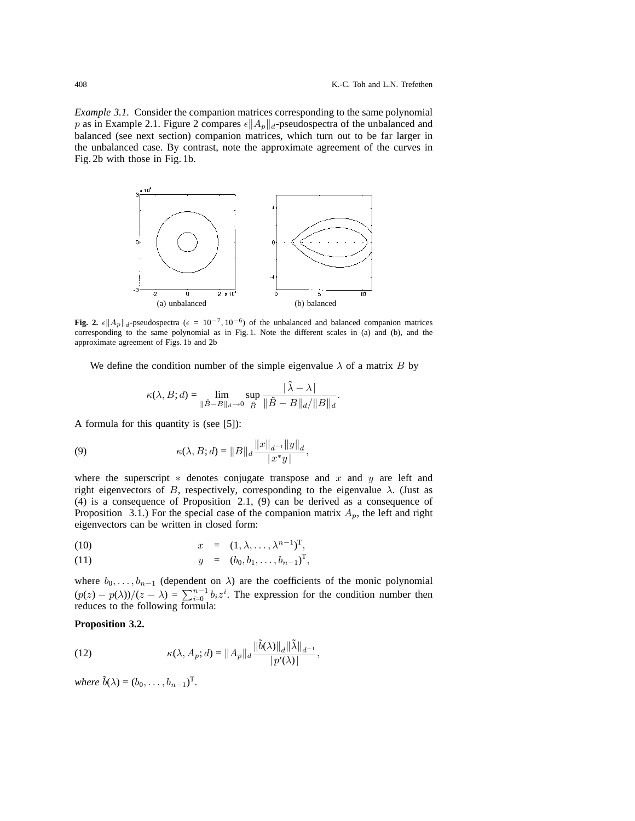*Example 3.1.* Consider the companion matrices corresponding to the same polynomial *p* as in Example 2.1. Figure 2 compares  $\epsilon \|A_p\|_d$ -pseudospectra of the unbalanced and balanced (see next section) companion matrices, which turn out to be far larger in the unbalanced case. By contrast, note the approximate agreement of the curves in Fig. 2b with those in Fig. 1b.



**Fig. 2.**  $\epsilon$ || $A_p$ || $d_p$ -pseudospectra ( $\epsilon = 10^{-7}$ , 10<sup>−6</sup>) of the unbalanced and balanced companion matrices corresponding to the same polynomial as in Fig. 1. Note the different scales in (a) and (b), and the approximate agreement of Figs. 1b and 2b

We define the condition number of the simple eigenvalue  $\lambda$  of a matrix *B* by

$$
\kappa(\lambda, B; d) = \lim_{\|\hat{B} - B\|_d \to 0} \sup_{\hat{B}} \frac{|\hat{\lambda} - \lambda|}{\|\hat{B} - B\|_d / \|B\|_d}.
$$

A formula for this quantity is (see [5]):

(9) 
$$
\kappa(\lambda, B; d) = ||B||_d \frac{||x||_{d^{-1}} ||y||_d}{|x^* y|},
$$

where the superscript *∗* denotes conjugate transpose and *x* and *y* are left and right eigenvectors of *B*, respectively, corresponding to the eigenvalue  $\lambda$ . (Just as (4) is a consequence of Proposition 2*.*1, (9) can be derived as a consequence of Proposition 3.1.) For the special case of the companion matrix  $A_p$ , the left and right eigenvectors can be written in closed form:

(10) 
$$
x = (1, \lambda, \ldots, \lambda^{n-1})^{\mathrm{T}},
$$

(11) 
$$
y = (b_0, b_1, \ldots, b_{n-1})^{\mathrm{T}},
$$

where  $b_0, \ldots, b_{n-1}$  (dependent on  $\lambda$ ) are the coefficients of the monic polynomial  $(p(z) - p(\lambda))/(z - \lambda) = \sum_{i=0}^{n-1} b_i z^i$ . The expression for the condition number then reduces to the following formula:

## **Proposition 3.2.**

(12) 
$$
\kappa(\lambda, A_p; d) = ||A_p||_d \frac{||\tilde{b}(\lambda)||_d ||\tilde{\lambda}||_{d^{-1}}}{|p'(\lambda)|},
$$

*where*  $\tilde{b}(\lambda) = (b_0, \ldots, b_{n-1})^T$ .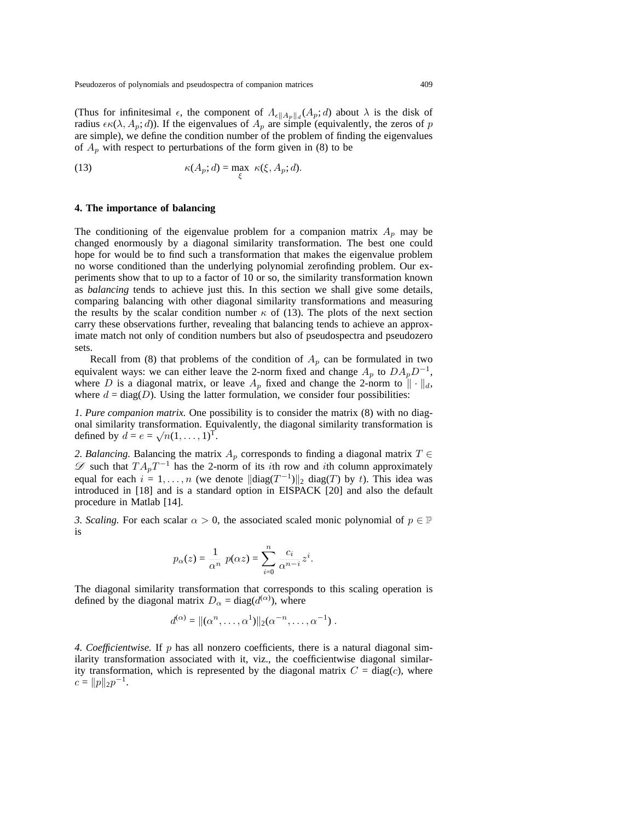(Thus for infinitesimal  $\epsilon$ , the component of  $A_{\epsilon ||A_p||_d}(A_p; d)$  about  $\lambda$  is the disk of radius  $\epsilon \kappa(\lambda, A_p; d)$ ). If the eigenvalues of  $A_p$  are simple (equivalently, the zeros of *p* are simple), we define the condition number of the problem of finding the eigenvalues of  $A_p$  with respect to perturbations of the form given in (8) to be

(13) 
$$
\kappa(A_p; d) = \max_{\xi} \ \kappa(\xi, A_p; d).
$$

#### **4. The importance of balancing**

The conditioning of the eigenvalue problem for a companion matrix  $A_p$  may be changed enormously by a diagonal similarity transformation. The best one could hope for would be to find such a transformation that makes the eigenvalue problem no worse conditioned than the underlying polynomial zerofinding problem. Our experiments show that to up to a factor of 10 or so, the similarity transformation known as *balancing* tends to achieve just this. In this section we shall give some details, comparing balancing with other diagonal similarity transformations and measuring the results by the scalar condition number  $\kappa$  of (13). The plots of the next section carry these observations further, revealing that balancing tends to achieve an approximate match not only of condition numbers but also of pseudospectra and pseudozero sets.

Recall from (8) that problems of the condition of  $A_p$  can be formulated in two equivalent ways: we can either leave the 2-norm fixed and change  $A_p$  to  $DA_pD^{-1}$ , where *D* is a diagonal matrix, or leave  $A_p$  fixed and change the 2-norm to  $\|\cdot\|_d$ , where  $d = diag(D)$ . Using the latter formulation, we consider four possibilities:

*1. Pure companion matrix.* One possibility is to consider the matrix (8) with no diagonal similarity transformation. Equivalently, the diagonal similarity transformation is defined by  $d = e = \sqrt{n}(1, \ldots, 1)^{\mathrm{T}}$ .

*2. Balancing.* Balancing the matrix *A<sup>p</sup>* corresponds to finding a diagonal matrix *T ∈ D* such that  $TA_pT^{-1}$  has the 2-norm of its *i*th row and *i*th column approximately equal for each  $i = 1, \ldots, n$  (we denote  $\|\text{diag}(T^{-1})\|_2$  diag(*T*) by *t*). This idea was introduced in [18] and is a standard option in EISPACK [20] and also the default procedure in Matlab [14].

*3. Scaling.* For each scalar  $\alpha > 0$ , the associated scaled monic polynomial of  $p \in \mathbb{P}$ is

$$
p_{\alpha}(z) = \frac{1}{\alpha^n} p(\alpha z) = \sum_{i=0}^n \frac{c_i}{\alpha^{n-i}} z^i.
$$

The diagonal similarity transformation that corresponds to this scaling operation is defined by the diagonal matrix  $D_{\alpha} = \text{diag}(d^{(\alpha)})$ , where

$$
d^{(\alpha)} = ||(\alpha^n, \dots, \alpha^1)||_2(\alpha^{-n}, \dots, \alpha^{-1}).
$$

*4. Coefficientwise.* If *p* has all nonzero coefficients, there is a natural diagonal similarity transformation associated with it, viz., the coefficientwise diagonal similarity transformation, which is represented by the diagonal matrix  $C = diag(c)$ , where  $c = ||p||_2 p^{-1}.$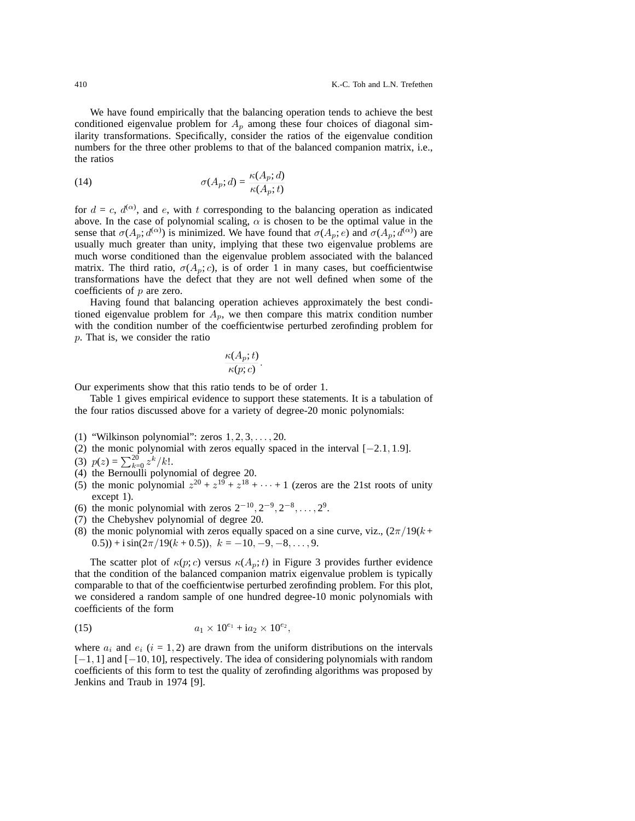We have found empirically that the balancing operation tends to achieve the best conditioned eigenvalue problem for  $A_p$  among these four choices of diagonal similarity transformations. Specifically, consider the ratios of the eigenvalue condition numbers for the three other problems to that of the balanced companion matrix, i.e., the ratios

(14) 
$$
\sigma(A_p; d) = \frac{\kappa(A_p; d)}{\kappa(A_p; t)}
$$

for  $d = c$ ,  $d^{(\alpha)}$ , and *e*, with *t* corresponding to the balancing operation as indicated above. In the case of polynomial scaling,  $\alpha$  is chosen to be the optimal value in the sense that  $\sigma(A_p; d^{(\alpha)})$  is minimized. We have found that  $\sigma(A_p; e)$  and  $\sigma(A_p; d^{(\alpha)})$  are usually much greater than unity, implying that these two eigenvalue problems are much worse conditioned than the eigenvalue problem associated with the balanced matrix. The third ratio,  $\sigma(A_p; c)$ , is of order 1 in many cases, but coefficientwise transformations have the defect that they are not well defined when some of the coefficients of *p* are zero.

Having found that balancing operation achieves approximately the best conditioned eigenvalue problem for  $A_p$ , we then compare this matrix condition number with the condition number of the coefficientwise perturbed zerofinding problem for *p*. That is, we consider the ratio

$$
\frac{\kappa(A_p;t)}{\kappa(p;c)}.
$$

Our experiments show that this ratio tends to be of order 1.

Table 1 gives empirical evidence to support these statements. It is a tabulation of the four ratios discussed above for a variety of degree-20 monic polynomials:

- (1) "Wilkinson polynomial": zeros 1*,* 2*,* 3*,...,* 20.
- (2) the monic polynomial with zeros equally spaced in the interval [*−*2*.*1*,* 1*.*9].
- (3)  $p(z) = \sum_{k=0}^{20} z^k / k!$ .
- (4) the Bernoulli polynomial of degree 20.
- (5) the monic polynomial  $z^{20} + z^{19} + z^{18} + \cdots + 1$  (zeros are the 21st roots of unity except 1).
- (6) the monic polynomial with zeros 2*−*<sup>10</sup>*,* 2*−*<sup>9</sup>*,* 2*−*<sup>8</sup>*,...,* 29.
- (7) the Chebyshev polynomial of degree 20.
- (8) the monic polynomial with zeros equally spaced on a sine curve, viz.,  $(2\pi/19(k +$ 0.5)) +  $i \sin(2\pi/19(k+0.5))$ ,  $k = -10, -9, -8, \ldots, 9$ .

The scatter plot of  $\kappa(p;c)$  versus  $\kappa(A_p;t)$  in Figure 3 provides further evidence that the condition of the balanced companion matrix eigenvalue problem is typically comparable to that of the coefficientwise perturbed zerofinding problem. For this plot, we considered a random sample of one hundred degree-10 monic polynomials with coefficients of the form

(15) 
$$
a_1 \times 10^{e_1} + i a_2 \times 10^{e_2},
$$

where  $a_i$  and  $e_i$  ( $i = 1, 2$ ) are drawn from the uniform distributions on the intervals [*−*1*,* 1] and [*−*10*,* 10], respectively. The idea of considering polynomials with random coefficients of this form to test the quality of zerofinding algorithms was proposed by Jenkins and Traub in 1974 [9].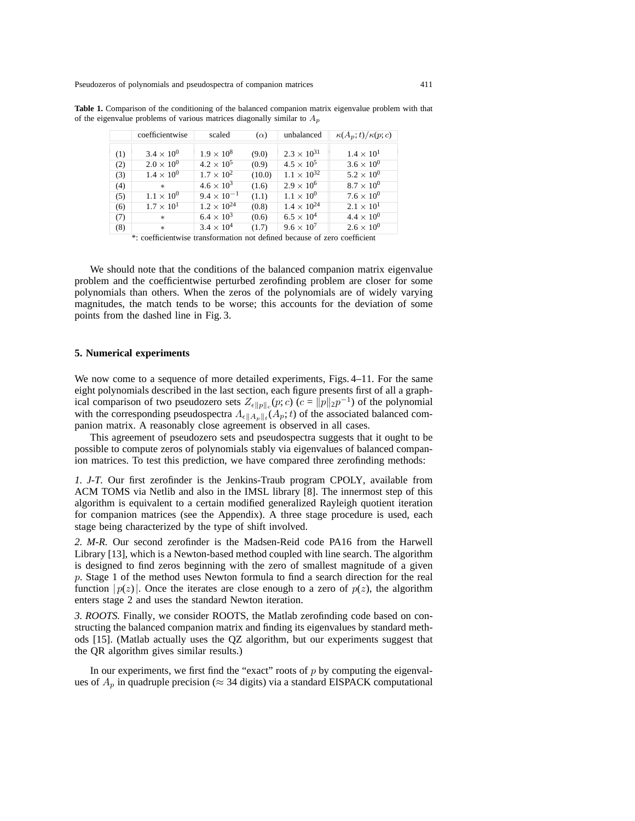Pseudozeros of polynomials and pseudospectra of companion matrices 411

|     | coefficientwise     | scaled               | $(\alpha)$ | unbalanced           | $\kappa(A_p;t)/\kappa(p;c)$ |
|-----|---------------------|----------------------|------------|----------------------|-----------------------------|
| (1) | $3.4 \times 10^{0}$ | $1.9 \times 10^{8}$  | (9.0)      | $2.3 \times 10^{31}$ | $1.4 \times 10^{1}$         |
| (2) | $2.0 \times 10^{0}$ | $4.2 \times 10^{5}$  | (0.9)      | $4.5 \times 10^{5}$  | $3.6 \times 10^{0}$         |
| (3) | $1.4 \times 10^{0}$ | $1.7 \times 10^{2}$  | (10.0)     | $1.1 \times 10^{32}$ | $5.2 \times 10^{0}$         |
| (4) | $\ast$              | $4.6 \times 10^{3}$  | (1.6)      | $2.9 \times 10^{6}$  | $8.7 \times 10^{0}$         |
| (5) | $1.1 \times 10^{0}$ | $9.4 \times 10^{-1}$ | (1.1)      | $1.1 \times 10^{0}$  | $7.6 \times 10^{0}$         |
| (6) | $1.7 \times 10^{1}$ | $1.2 \times 10^{24}$ | (0.8)      | $1.4 \times 10^{24}$ | $2.1 \times 10^{1}$         |
| (7) | $\ast$              | $6.4 \times 10^{3}$  | (0.6)      | $6.5 \times 10^{4}$  | $4.4 \times 10^{0}$         |
| (8) | $\ast$              | $3.4 \times 10^{4}$  | (1.7)      | $9.6 \times 10^{7}$  | $2.6 \times 10^{0}$         |

**Table 1.** Comparison of the conditioning of the balanced companion matrix eigenvalue problem with that of the eigenvalue problems of various matrices diagonally similar to A*<sup>p</sup>*

\*: coefficientwise transformation not defined because of zero coefficient

We should note that the conditions of the balanced companion matrix eigenvalue problem and the coefficientwise perturbed zerofinding problem are closer for some polynomials than others. When the zeros of the polynomials are of widely varying magnitudes, the match tends to be worse; this accounts for the deviation of some points from the dashed line in Fig. 3.

## **5. Numerical experiments**

We now come to a sequence of more detailed experiments, Figs. 4–11. For the same eight polynomials described in the last section, each figure presents first of all a graphical comparison of two pseudozero sets  $Z_{\epsilon||p||c}(p;c)$  ( $c = ||p||_2 p^{-1}$ ) of the polynomial with the corresponding pseudospectra  $A_{\epsilon||A_p||_t}(A_p;t)$  of the associated balanced companion matrix. A reasonably close agreement is observed in all cases.

This agreement of pseudozero sets and pseudospectra suggests that it ought to be possible to compute zeros of polynomials stably via eigenvalues of balanced companion matrices. To test this prediction, we have compared three zerofinding methods:

*1. J-T.* Our first zerofinder is the Jenkins-Traub program CPOLY, available from ACM TOMS via Netlib and also in the IMSL library [8]. The innermost step of this algorithm is equivalent to a certain modified generalized Rayleigh quotient iteration for companion matrices (see the Appendix). A three stage procedure is used, each stage being characterized by the type of shift involved.

*2. M-R.* Our second zerofinder is the Madsen-Reid code PA16 from the Harwell Library [13], which is a Newton-based method coupled with line search. The algorithm is designed to find zeros beginning with the zero of smallest magnitude of a given *p*. Stage 1 of the method uses Newton formula to find a search direction for the real function  $|p(z)|$ . Once the iterates are close enough to a zero of  $p(z)$ , the algorithm enters stage 2 and uses the standard Newton iteration.

*3. ROOTS.* Finally, we consider ROOTS, the Matlab zerofinding code based on constructing the balanced companion matrix and finding its eigenvalues by standard methods [15]. (Matlab actually uses the QZ algorithm, but our experiments suggest that the QR algorithm gives similar results.)

In our experiments, we first find the "exact" roots of *p* by computing the eigenvalues of  $A_p$  in quadruple precision ( $\approx$  34 digits) via a standard EISPACK computational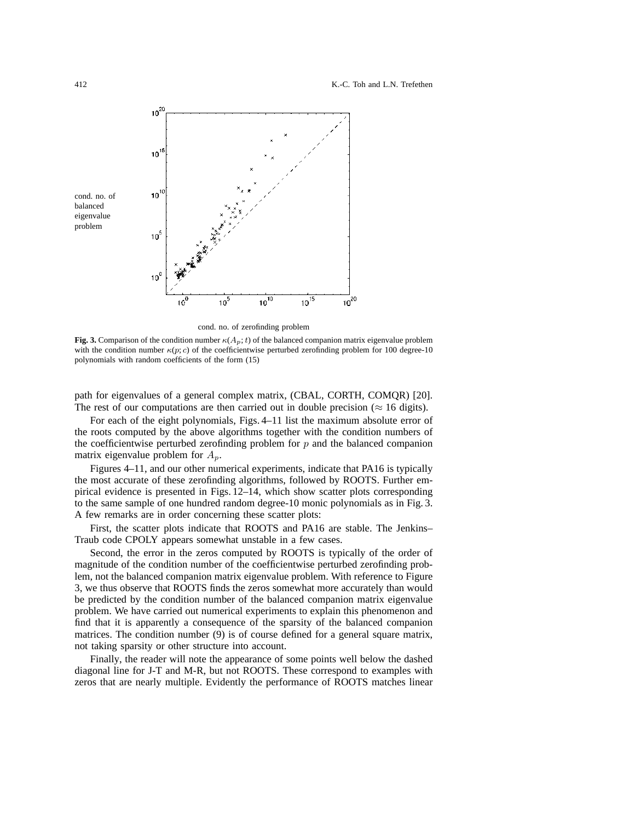#### 412 K.-C. Toh and L.N. Trefethen



cond. no. of zerofinding problem

**Fig. 3.** Comparison of the condition number  $\kappa(A_p; t)$  of the balanced companion matrix eigenvalue problem with the condition number  $\kappa(p; c)$  of the coefficientwise perturbed zerofinding problem for 100 degree-10 polynomials with random coefficients of the form (15)

path for eigenvalues of a general complex matrix, (CBAL, CORTH, COMQR) [20]. The rest of our computations are then carried out in double precision ( $\approx 16$  digits).

For each of the eight polynomials, Figs. 4–11 list the maximum absolute error of the roots computed by the above algorithms together with the condition numbers of the coefficientwise perturbed zerofinding problem for *p* and the balanced companion matrix eigenvalue problem for *Ap*.

Figures 4–11, and our other numerical experiments, indicate that PA16 is typically the most accurate of these zerofinding algorithms, followed by ROOTS. Further empirical evidence is presented in Figs. 12–14, which show scatter plots corresponding to the same sample of one hundred random degree-10 monic polynomials as in Fig. 3. A few remarks are in order concerning these scatter plots:

First, the scatter plots indicate that ROOTS and PA16 are stable. The Jenkins– Traub code CPOLY appears somewhat unstable in a few cases.

Second, the error in the zeros computed by ROOTS is typically of the order of magnitude of the condition number of the coefficientwise perturbed zerofinding problem, not the balanced companion matrix eigenvalue problem. With reference to Figure 3, we thus observe that ROOTS finds the zeros somewhat more accurately than would be predicted by the condition number of the balanced companion matrix eigenvalue problem. We have carried out numerical experiments to explain this phenomenon and find that it is apparently a consequence of the sparsity of the balanced companion matrices. The condition number (9) is of course defined for a general square matrix, not taking sparsity or other structure into account.

Finally, the reader will note the appearance of some points well below the dashed diagonal line for J-T and M-R, but not ROOTS. These correspond to examples with zeros that are nearly multiple. Evidently the performance of ROOTS matches linear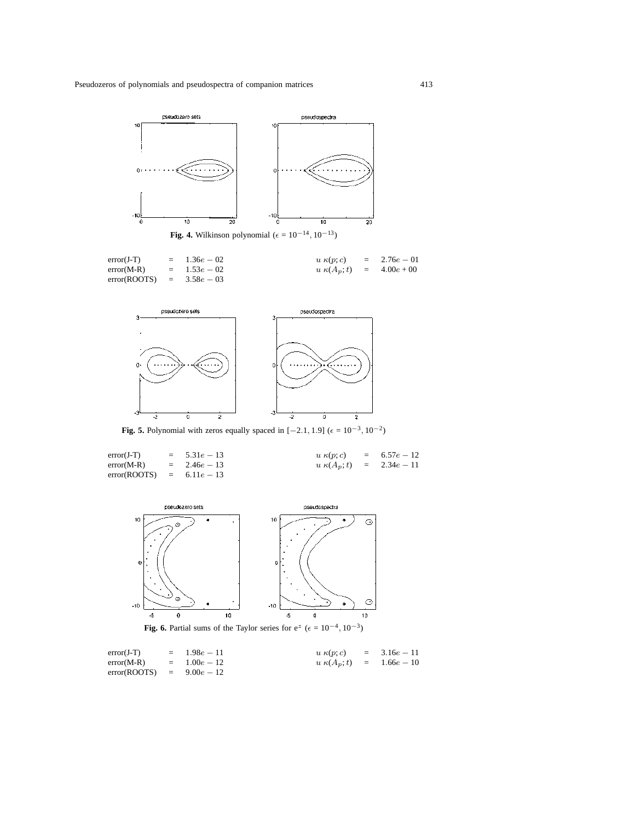

error(J-T) = 1.36e − 02 u κ(p; c) = 2.76e − 01<br>error(M-R) = 1.53e − 02 u κ(A<sub>p</sub>; t) = 4.00e + 00  $= 1.53e - 02$  u κ(A<sub>p</sub>;t) =<br>4.58e − 03 error(ROOTS)



**Fig. 5.** Polynomial with zeros equally spaced in  $[-2.1, 1.9]$  ( $\epsilon = 10^{-3}, 10^{-2}$ )

| $error(J-T)$              | $= 5.31e - 13$ | $u \kappa(p; c) = 6.57e - 12$ |  |
|---------------------------|----------------|-------------------------------|--|
| $error(M-R)$              | $= 2.46e - 13$ | $u \kappa(A_n;t) = 2.34e-11$  |  |
| $error(ROOTS) = 6.11e-13$ |                |                               |  |



Fig. 6. Partial sums of the Taylor series for  $e^z$  ( $\epsilon = 10^{-4}$ , 10<sup>-3</sup>)

| $error(J-T)$                | $=$ 1.98 $e-11$ | $u \kappa(p; c) = 3.16e - 11$ |  |
|-----------------------------|-----------------|-------------------------------|--|
| $error(M-R)$                | $= 1.00e - 12$  | $u \kappa(A_p;t) = 1.66e-10$  |  |
| $error(ROOTS) = 9.00e - 12$ |                 |                               |  |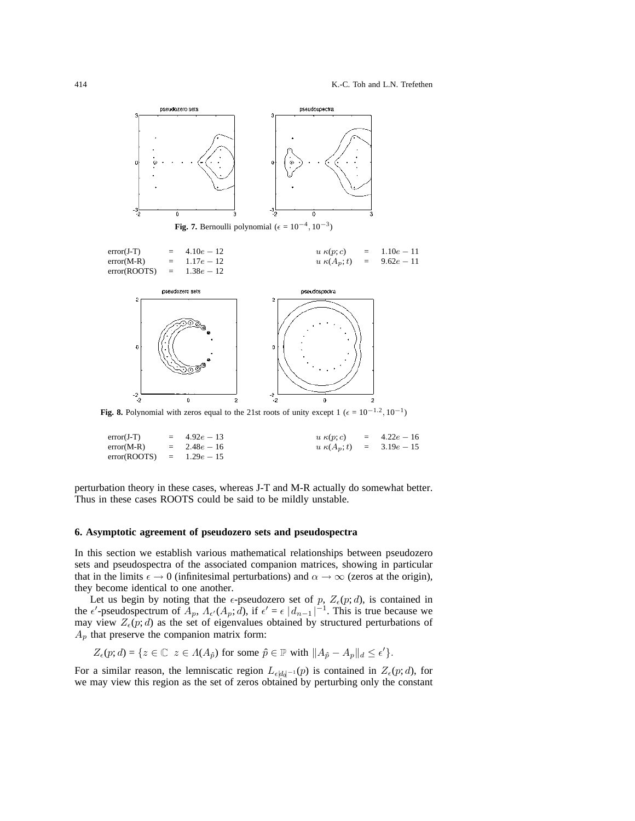

**Fig. 8.** Polynomial with zeros equal to the 21st roots of unity except 1 ( $\epsilon = 10^{-1.2}$ ,  $10^{-1}$ )

| $error(J-T)$                | $= 4.92e - 13$ | $u \kappa(p;c) = 4.22e - 16$ |  |
|-----------------------------|----------------|------------------------------|--|
| $error(M-R) = 2.48e - 16$   |                | $u \kappa(A_p;t) = 3.19e-15$ |  |
| error(ROOTS) = $1.29e - 15$ |                |                              |  |

perturbation theory in these cases, whereas J-T and M-R actually do somewhat better. Thus in these cases ROOTS could be said to be mildly unstable.

## **6. Asymptotic agreement of pseudozero sets and pseudospectra**

In this section we establish various mathematical relationships between pseudozero sets and pseudospectra of the associated companion matrices, showing in particular that in the limits  $\epsilon \to 0$  (infinitesimal perturbations) and  $\alpha \to \infty$  (zeros at the origin), they become identical to one another.

Let us begin by noting that the  $\epsilon$ -pseudozero set of p,  $Z_{\epsilon}(p; d)$ , is contained in the  $\epsilon'$ -pseudospectrum of  $\overline{A}_p$ ,  $\Lambda_{\epsilon'}(A_p; d)$ , if  $\epsilon' = \epsilon |d_{n-1}|^{-1}$ . This is true because we may view  $Z_{\epsilon}(p; d)$  as the set of eigenvalues obtained by structured perturbations of  $A_p$  that preserve the companion matrix form:

$$
Z_{\epsilon}(p; d) = \{ z \in \mathbb{C} \mid z \in \Lambda(A_{\hat{p}}) \text{ for some } \hat{p} \in \mathbb{P} \text{ with } ||A_{\hat{p}} - A_p||_d \leq \epsilon' \}.
$$

For a similar reason, the lemniscatic region  $L_{\epsilon |d_0|^{-1}}(p)$  is contained in  $Z_{\epsilon}(p;d)$ , for we may view this region as the set of zeros obtained by perturbing only the constant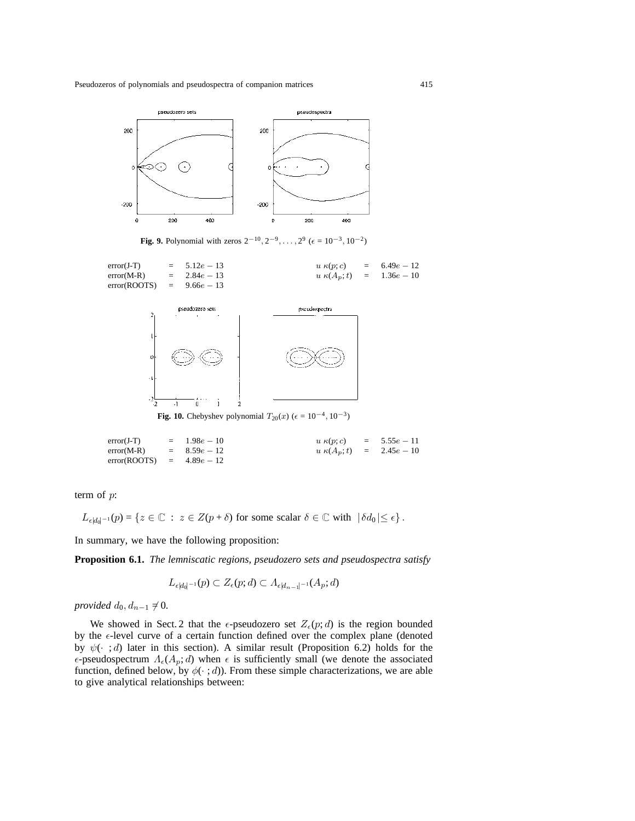

**Fig. 9.** Polynomial with zeros  $2^{-10}$ ,  $2^{-9}$ , ...,  $2^9$  ( $\epsilon = 10^{-3}$ ,  $10^{-2}$ )





**Fig. 10.** Chebyshev polynomial  $T_{20}(x)$  ( $\epsilon = 10^{-4}, 10^{-3}$ )

```
error(J-T) = 1.98e − 10 u \kappa(p; c) = 5.55e − 11<br>error(M-R) = 8.59e − 12 u \kappa(A_p; t) = 2.45e − 10
error(M-R) = 8.59e − 12 u \kappa(A_p;t) = <br>error(ROOTS) = 4.89e − 12
error(ROOTS)
```
term of *p*:

 $L_{\epsilon |d_0|^{-1}}(p) = \{z \in \mathbb{C} : z \in Z(p+\delta) \text{ for some scalar } \delta \in \mathbb{C} \text{ with } |\delta d_0| \leq \epsilon \}.$ 

In summary, we have the following proposition:

**Proposition 6.1.** *The lemniscatic regions, pseudozero sets and pseudospectra satisfy*

$$
L_{\epsilon|d_0|^{-1}}(p) \subset Z_{\epsilon}(p;d) \subset \Lambda_{\epsilon|d_{n-1}|^{-1}}(A_p;d)
$$

*provided*  $d_0, d_{n-1} \neq 0$ *.* 

We showed in Sect. 2 that the  $\epsilon$ -pseudozero set  $Z_{\epsilon}(p; d)$  is the region bounded by the  $\epsilon$ -level curve of a certain function defined over the complex plane (denoted by  $\psi(\cdot; d)$  later in this section). A similar result (Proposition 6.2) holds for the  $\epsilon$ -pseudospectrum  $\Lambda_{\epsilon}(A_p; d)$  when  $\epsilon$  is sufficiently small (we denote the associated function, defined below, by  $\phi(\cdot; d)$ ). From these simple characterizations, we are able to give analytical relationships between: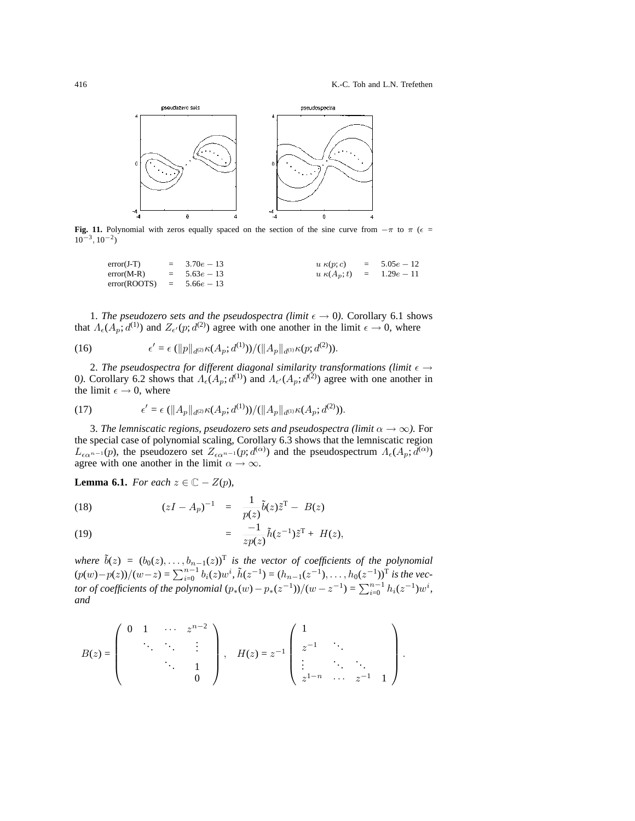

**Fig. 11.** Polynomial with zeros equally spaced on the section of the sine curve from  $-\pi$  to  $\pi$  ( $\epsilon$  = 10*−*3, 10*−*2)

$$
error(J-T) = 3.70e-13
$$
  
\n
$$
u \kappa(p;c) = 5.05e-12
$$
  
\n
$$
u \kappa(p,c) = 5.05e-12
$$
  
\n
$$
u \kappa(A_p; t) = 1.29e-11
$$
  
\n
$$
error(ROOTS) = 5.66e-13
$$

1. *The pseudozero sets and the pseudospectra (limit*  $\epsilon \rightarrow 0$ ). Corollary 6.1 shows that  $\Lambda_{\epsilon}(A_p; d^{(1)})$  and  $Z_{\epsilon}(p; d^{(2)})$  agree with one another in the limit  $\epsilon \to 0$ , where

(16) 
$$
\epsilon' = \epsilon (\|p\|_{d^{(2)}} \kappa(A_p; d^{(1)})) / (\|A_p\|_{d^{(1)}} \kappa(p; d^{(2)})).
$$

2. The pseudospectra for different diagonal similarity transformations (limit  $\epsilon \rightarrow$ 0). Corollary 6.2 shows that  $A_0(A_p; d^{(1)})$  and  $A_0(A_p; d^{(2)})$  agree with one another in the limit  $\epsilon \rightarrow 0$ , where

(17) 
$$
\epsilon' = \epsilon \left( \|A_p\|_{d^{(2)}} \kappa(A_p; d^{(1)})\right) / (\|A_p\|_{d^{(1)}} \kappa(A_p; d^{(2)})).
$$

3. *The lemniscatic regions, pseudozero sets and pseudospectra (limit α → ∞).* For the special case of polynomial scaling, Corollary 6.3 shows that the lemniscatic region  $L_{\epsilon\alpha}$ <sup>n</sup>−1(*p*), the pseudozero set  $Z_{\epsilon\alpha}$ <sup>n−1</sup>(*p*; *d*<sup>( $\alpha$ )</sup>) and the pseudospectrum  $\Lambda_{\epsilon}(A_p; d^{(\alpha)})$ agree with one another in the limit  $\alpha \rightarrow \infty$ .

**Lemma 6.1.** *For each*  $z \in \mathbb{C} - Z(p)$ *,* 

(18) 
$$
(zI - A_p)^{-1} = \frac{1}{p(z)} \tilde{b}(z)\tilde{z}^{\mathrm{T}} - B(z)
$$

$$
= \frac{-1}{zp(z)} \tilde{h}(z^{-1})\tilde{z}^{\mathrm{T}} + H(z),
$$

where 
$$
\tilde{b}(z) = (b_0(z), \ldots, b_{n-1}(z))^T
$$
 is the vector of coefficients of the polynomial  $(p(w)-p(z))/(w-z) = \sum_{i=0}^{n-1} b_i(z)w^i$ ,  $\tilde{h}(z^{-1}) = (h_{n-1}(z^{-1}), \ldots, h_0(z^{-1}))^T$  is the vector of coefficients of the polynomial  $(p_*(w) - p_*(z^{-1}))/(w - z^{-1}) = \sum_{i=0}^{n-1} h_i(z^{-1})w^i$ , and

$$
B(z) = \begin{pmatrix} 0 & 1 & \cdots & z^{n-2} \\ & \ddots & \ddots & \vdots \\ & & \ddots & 1 \\ & & & 0 \end{pmatrix}, \quad H(z) = z^{-1} \begin{pmatrix} 1 & & & \\ z^{-1} & \ddots & & \\ \vdots & \ddots & \ddots & \\ z^{1-n} & \cdots & z^{-1} & 1 \end{pmatrix}.
$$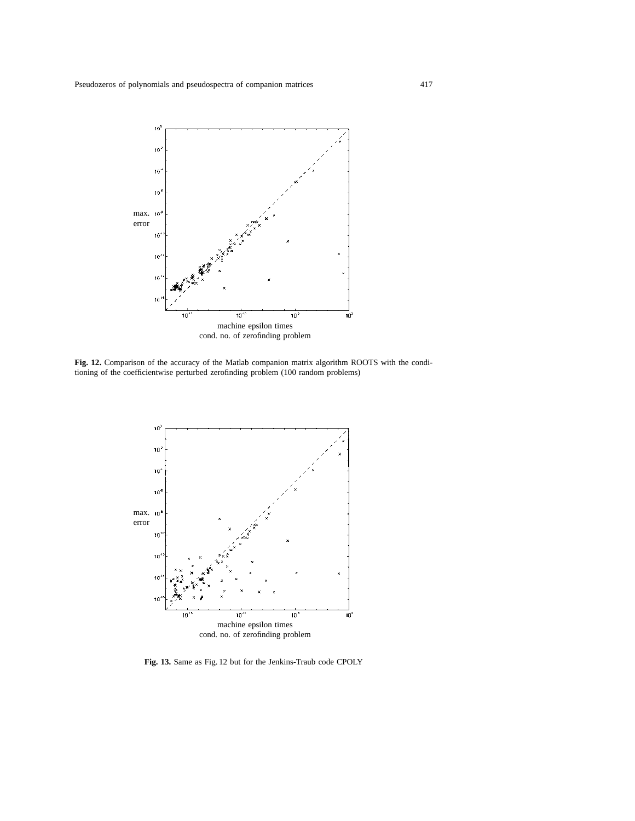

**Fig. 12.** Comparison of the accuracy of the Matlab companion matrix algorithm ROOTS with the conditioning of the coefficientwise perturbed zerofinding problem (100 random problems)



**Fig. 13.** Same as Fig. 12 but for the Jenkins-Traub code CPOLY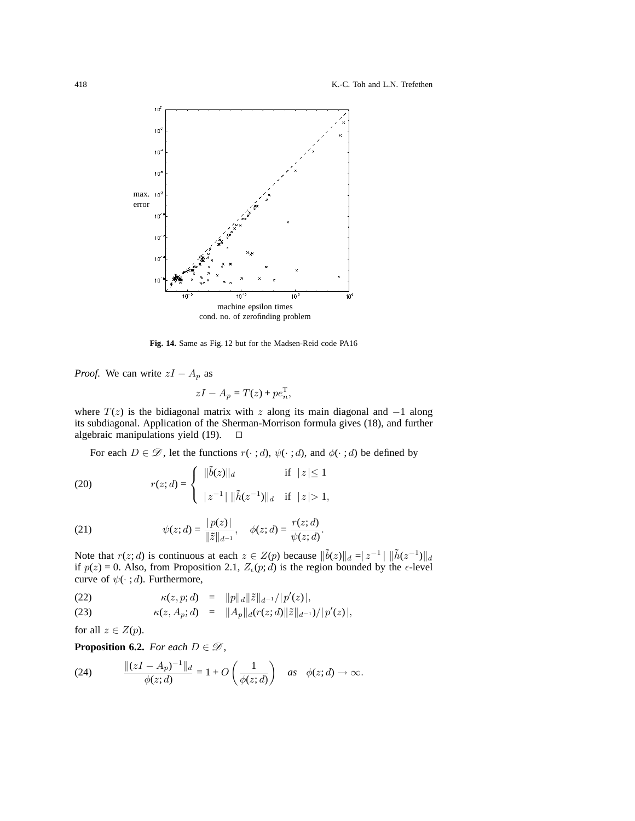418 K.-C. Toh and L.N. Trefethen



**Fig. 14.** Same as Fig. 12 but for the Madsen-Reid code PA16

*Proof.* We can write  $zI - A_p$  as

$$
zI - A_p = T(z) + pe_n^{\mathrm{T}},
$$

where *T*(*z*) is the bidiagonal matrix with *z* along its main diagonal and *−*1 along its subdiagonal. Application of the Sherman-Morrison formula gives (18), and further algebraic manipulations yield  $(19)$ .  $\square$ 

For each  $D \in \mathcal{D}$ , let the functions  $r(\cdot; d)$ ,  $\psi(\cdot; d)$ , and  $\phi(\cdot; d)$  be defined by

(20) 
$$
r(z; d) = \begin{cases} ||\tilde{b}(z)||_d & \text{if } |z| \le 1 \\ |z^{-1}| ||\tilde{h}(z^{-1})||_d & \text{if } |z| > 1, \end{cases}
$$

(21) 
$$
\psi(z; d) = \frac{|p(z)|}{\|\tilde{z}\|_{d^{-1}}}, \quad \phi(z; d) = \frac{r(z; d)}{\psi(z; d)}.
$$

Note that  $r(z; d)$  is continuous at each  $z \in Z(p)$  because  $\|\tilde{b}(z)\|_{d} = |z^{-1}| \|\tilde{h}(z^{-1})\|_{d}$ if  $p(z) = 0$ . Also, from Proposition 2.1,  $Z_{\epsilon}(p; d)$  is the region bounded by the  $\epsilon$ -level curve of  $\psi(\cdot; d)$ . Furthermore,

(22) 
$$
\kappa(z, p; d) = ||p||_d ||\tilde{z}||_{d^{-1}} / |p'(z)|,
$$

(23) 
$$
\kappa(z, A_p; d) = ||A_p||_d(r(z; d)||\tilde{z}||_{d^{-1}})/|p'(z)|,
$$

for all  $z \in Z(p)$ .

**Proposition 6.2.** *For each*  $D \in \mathcal{D}$ *,* 

(24) 
$$
\frac{\|(zI - A_p)^{-1}\|_d}{\phi(z; d)} = 1 + O\left(\frac{1}{\phi(z; d)}\right) \quad \text{as} \quad \phi(z; d) \to \infty.
$$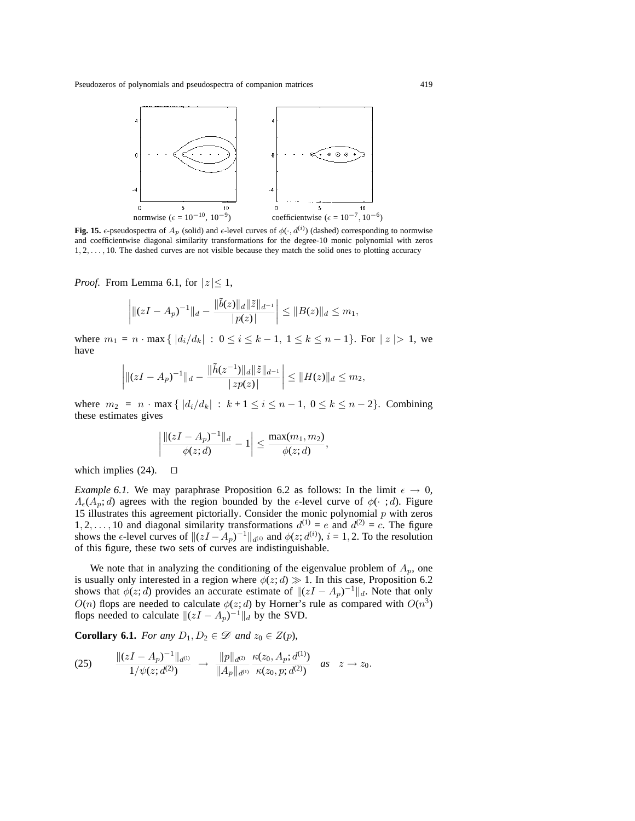

**Fig. 15.**  $\epsilon$ -pseudospectra of  $A_p$  (solid) and  $\epsilon$ -level curves of  $\phi(\cdot, d^{(i)})$  (dashed) corresponding to normwise and coefficientwise diagonal similarity transformations for the degree-10 monic polynomial with zeros 1, 2,..., 10. The dashed curves are not visible because they match the solid ones to plotting accuracy

*Proof.* From Lemma 6.1, for  $|z| \leq 1$ ,

$$
\left| \|(zI - A_p)^{-1} \|_d - \frac{\|\tilde{b}(z)\|_d \|\tilde{z}\|_{d^{-1}}}{|p(z)|} \right| \leq \|B(z)\|_d \leq m_1,
$$

where  $m_1 = n \cdot \max\{ |d_i/d_k| : 0 \le i \le k-1, 1 \le k \le n-1 \}$ . For  $|z| > 1$ , we have

$$
\left| \|(zI - A_p)^{-1} \|_d - \frac{\|\tilde{h}(z^{-1})\|_d \|\tilde{z}\|_{d^{-1}}}{|z p(z)|} \right| \le \|H(z)\|_d \le m_2,
$$

where  $m_2 = n \cdot \max\{ |d_i/d_k| : k+1 \le i \le n-1, 0 \le k \le n-2 \}.$  Combining these estimates gives

$$
\left| \frac{\|(zI - A_p)^{-1}\|_d}{\phi(z; d)} - 1 \right| \le \frac{\max(m_1, m_2)}{\phi(z; d)},
$$

which implies  $(24)$ .  $\Box$ 

*Example 6.1.* We may paraphrase Proposition 6.2 as follows: In the limit  $\epsilon \to 0$ , *Λ*<sub>ε</sub>(*A*<sub>*p*</sub>; *d*) agrees with the region bounded by the  $\epsilon$ -level curve of  $\phi(\cdot;\,d)$ . Figure 15 illustrates this agreement pictorially. Consider the monic polynomial *p* with zeros 1, 2, ..., 10 and diagonal similarity transformations  $d^{(1)} = e$  and  $d^{(2)} = c$ . The figure shows the  $\epsilon$ -level curves of  $\|(zI - A_p)^{-1}\|_{d^{(i)}}$  and  $\phi(z; d^{(i)})$ ,  $i = 1, 2$ . To the resolution of this figure, these two sets of curves are indistinguishable.

We note that in analyzing the conditioning of the eigenvalue problem of  $A_p$ , one is usually only interested in a region where  $\phi(z; d) \gg 1$ . In this case, Proposition 6.2 shows that  $\phi(z; d)$  provides an accurate estimate of  $\|(zI - A_p)^{-1}\|_d$ . Note that only *O*(*n*) flops are needed to calculate  $\phi(z; d)$  by Horner's rule as compared with  $O(n^3)$ flops needed to calculate  $\|(zI - A_p)^{-1}\|_d$  by the SVD.

**Corollary 6.1.** *For any*  $D_1, D_2 \in \mathcal{D}$  *and*  $z_0 \in Z(p)$ *,* 

$$
(25) \qquad \frac{\|(zI-A_p)^{-1}\|_{d^{(1)}}}{1/\psi(z; d^{(2)})} \;\to\; \frac{\|p\|_{d^{(2)}}}{\|A_p\|_{d^{(1)}}} \frac{\kappa(z_0, A_p; d^{(1)})}{\kappa(z_0, p; d^{(2)})} \quad as \quad z \to z_0.
$$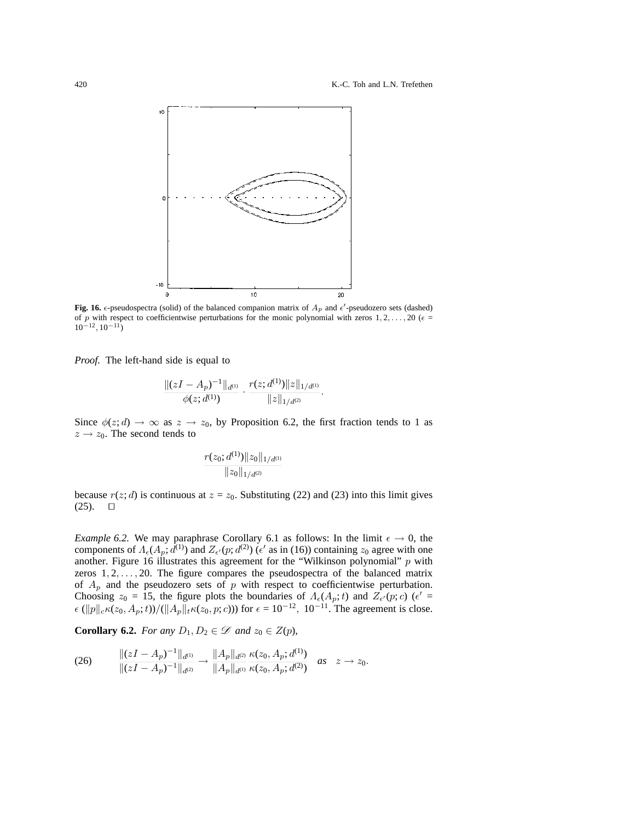

**Fig. 16.**  $\epsilon$ -pseudospectra (solid) of the balanced companion matrix of  $A_p$  and  $\epsilon'$ -pseudozero sets (dashed) of p with respect to coefficientwise perturbations for the monic polynomial with zeros  $1, 2, \ldots, 20$  ( $\epsilon =$ 10*−*12, 10*−*11)

*Proof.* The left-hand side is equal to

$$
\frac{\|(zI-A_p)^{-1}\|_{d^{(1)}}}{\phi(z; d^{(1)})}\cdot\frac{r(z; d^{(1)})\|z\|_{1/d^{(1)}}}{\|z\|_{1/d^{(2)}}}.
$$

Since  $\phi(z; d) \to \infty$  as  $z \to z_0$ , by Proposition 6.2, the first fraction tends to 1 as  $z \rightarrow z_0$ . The second tends to

$$
\frac{r(z_0; d^{(1)})\|z_0\|_{1/d^{(1)}}}{\|z_0\|_{1/d^{(2)}}}
$$

because  $r(z; d)$  is continuous at  $z = z_0$ . Substituting (22) and (23) into this limit gives  $(25)$ .  $\Box$ 

*Example 6.2.* We may paraphrase Corollary 6.1 as follows: In the limit  $\epsilon \to 0$ , the components of  $\Lambda_{\epsilon}(A_p; d^{(1)})$  and  $Z_{\epsilon}(p; d^{(2)})$  ( $\epsilon'$  as in (16)) containing  $z_0$  agree with one another. Figure 16 illustrates this agreement for the "Wilkinson polynomial" *p* with zeros  $1, 2, \ldots, 20$ . The figure compares the pseudospectra of the balanced matrix of  $A_p$  and the pseudozero sets of  $p$  with respect to coefficientwise perturbation. Choosing  $z_0 = 15$ , the figure plots the boundaries of  $\Lambda_{\epsilon}(A_p; t)$  and  $Z_{\epsilon}(p; c)$  ( $\epsilon' =$  $\epsilon (\|p\|_c \kappa(z_0, A_p; t)) / (\|A_p\|_t \kappa(z_0, p; c))$  for  $\epsilon = 10^{-12}$ ,  $10^{-11}$ . The agreement is close.

**Corollary 6.2.** *For any*  $D_1, D_2 \in \mathcal{D}$  *and*  $z_0 \in Z(p)$ *,* 

$$
(26) \qquad \frac{\|(zI-A_p)^{-1}\|_{d^{(1)}}}{\|(zI-A_p)^{-1}\|_{d^{(2)}}} \to \frac{\|A_p\|_{d^{(2)}}}{\|A_p\|_{d^{(1)}}} \frac{\kappa(z_0,A_p;d^{(1)})}{\kappa(z_0,A_p;d^{(2)})} \quad as \quad z \to z_0.
$$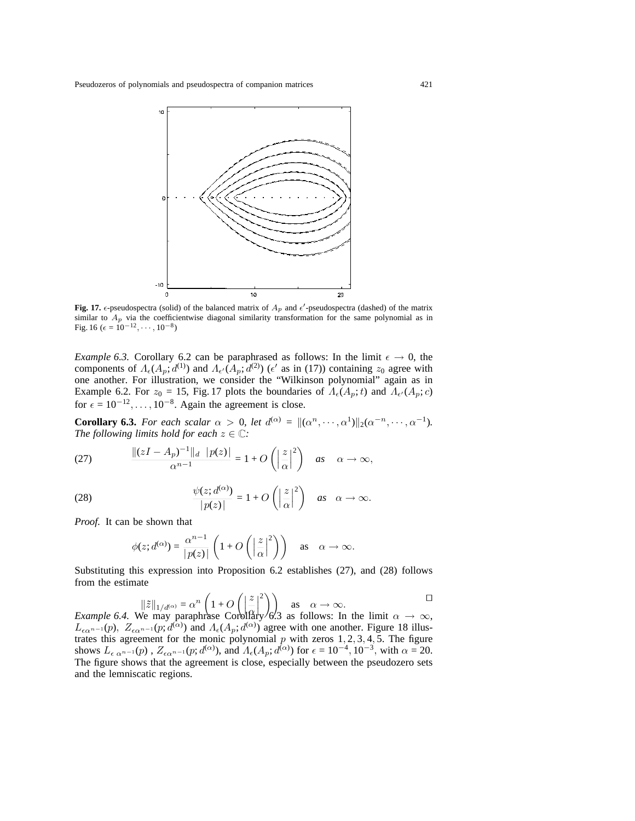

**Fig. 17.**  $\epsilon$ -pseudospectra (solid) of the balanced matrix of  $A_p$  and  $\epsilon'$ -pseudospectra (dashed) of the matrix similar to  $A_p$  via the coefficientwise diagonal similarity transformation for the same polynomial as in Fig. 16 ( $\epsilon = 10^{-12}, \cdots, 10^{-8}$ )

*Example 6.3.* Corollary 6.2 can be paraphrased as follows: In the limit  $\epsilon \to 0$ , the components of  $\Lambda_{\epsilon}(A_p; d^{(1)})$  and  $\Lambda_{\epsilon'}(A_p; d^{(2)})$  ( $\epsilon'$  as in (17)) containing  $z_0$  agree with one another. For illustration, we consider the "Wilkinson polynomial" again as in Example 6.2. For  $z_0 = 15$ , Fig. 17 plots the boundaries of  $\Lambda_\epsilon(A_p; t)$  and  $\Lambda_{\epsilon'}(A_p; c)$ for  $\epsilon = 10^{-12}, \ldots, 10^{-8}$ . Again the agreement is close.

**Corollary 6.3.** For each scalar  $\alpha > 0$ , let  $d^{(\alpha)} = ||(\alpha^n, \dots, \alpha^1)||_2(\alpha^{-n}, \dots, \alpha^{-1}).$ *The following limits hold for each*  $z \in \mathbb{C}$ *:* 

(27) 
$$
\frac{\|(zI - A_p)^{-1}\|_d \ |p(z)|}{\alpha^{n-1}} = 1 + O\left(\left|\frac{z}{\alpha}\right|^2\right) \quad \text{as} \quad \alpha \to \infty,
$$

(28) 
$$
\frac{\psi(z; d^{(\alpha)})}{|p(z)|} = 1 + O\left(\left|\frac{z}{\alpha}\right|^2\right) \quad \text{as} \quad \alpha \to \infty.
$$

*Proof.* It can be shown that

$$
\phi(z; d^{(\alpha)}) = \frac{\alpha^{n-1}}{|p(z)|} \left( 1 + O\left( \left| \frac{z}{\alpha} \right|^2 \right) \right) \text{ as } \alpha \to \infty.
$$

Substituting this expression into Proposition 6.2 establishes (27), and (28) follows from the estimate

$$
\|\tilde{z}\|_{1/d\alpha} = \alpha^n \left(1 + O\left(\left|\frac{z}{\alpha}\right|^2\right)\right)
$$
 as  $\alpha \to \infty$ .  
Example 6.4. We may paraphrase Corollary 6.3 as follows: In the limit  $\alpha \to \infty$ ,

 $L_{\epsilon\alpha^{n-1}}(p)$ ,  $Z_{\epsilon\alpha^{n-1}}(p; d^{(\alpha)})$  and  $A_{\epsilon}(A_p; d^{(\alpha)})$  agree with one another. Figure 18 illustrates this agreement for the monic polynomial *p* with zeros 1*,* 2*,* 3*,* 4*,* 5. The figure shows  $L_{\epsilon \alpha^{n-1}}(p)$ ,  $Z_{\epsilon \alpha^{n-1}}(p; d^{(\alpha)})$ , and  $A_{\epsilon}(A_p; d^{(\alpha)})$  for  $\epsilon = 10^{-4}, 10^{-3}$ , with  $\alpha = 20$ . The figure shows that the agreement is close, especially between the pseudozero sets and the lemniscatic regions.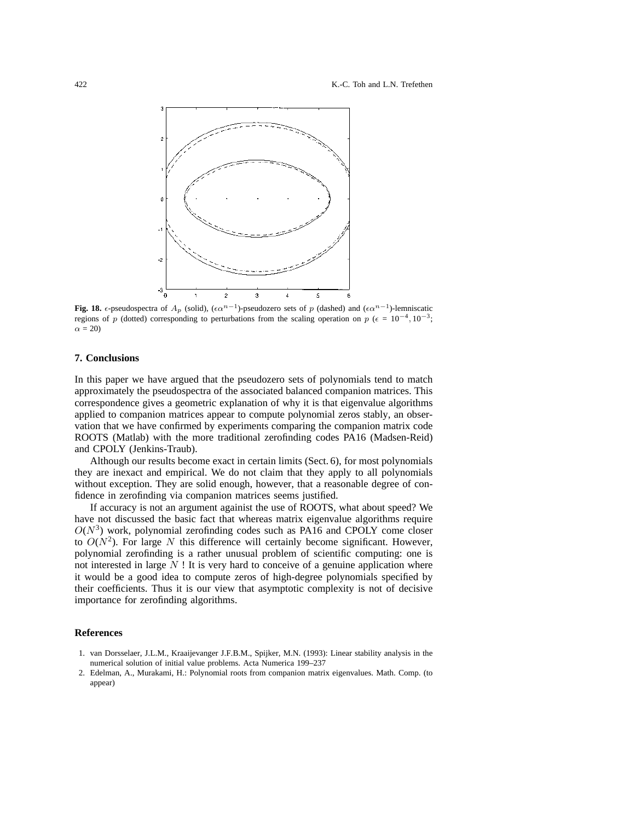

**Fig. 18.**  $\epsilon$ -pseudospectra of  $A_p$  (solid), ( $\epsilon \alpha^{n-1}$ )-pseudozero sets of p (dashed) and ( $\epsilon \alpha^{n-1}$ )-lemniscatic regions of p (dotted) corresponding to perturbations from the scaling operation on p ( $\epsilon = 10^{-4}$ , 10<sup>-3</sup>;  $\alpha = 20$ 

## **7. Conclusions**

In this paper we have argued that the pseudozero sets of polynomials tend to match approximately the pseudospectra of the associated balanced companion matrices. This correspondence gives a geometric explanation of why it is that eigenvalue algorithms applied to companion matrices appear to compute polynomial zeros stably, an observation that we have confirmed by experiments comparing the companion matrix code ROOTS (Matlab) with the more traditional zerofinding codes PA16 (Madsen-Reid) and CPOLY (Jenkins-Traub).

Although our results become exact in certain limits (Sect. 6), for most polynomials they are inexact and empirical. We do not claim that they apply to all polynomials without exception. They are solid enough, however, that a reasonable degree of confidence in zerofinding via companion matrices seems justified.

If accuracy is not an argument againist the use of ROOTS, what about speed? We have not discussed the basic fact that whereas matrix eigenvalue algorithms require  $O(N^3)$  work, polynomial zerofinding codes such as PA16 and CPOLY come closer to  $O(N^2)$ . For large N this difference will certainly become significant. However, polynomial zerofinding is a rather unusual problem of scientific computing: one is not interested in large *N* ! It is very hard to conceive of a genuine application where it would be a good idea to compute zeros of high-degree polynomials specified by their coefficients. Thus it is our view that asymptotic complexity is not of decisive importance for zerofinding algorithms.

## **References**

- 1. van Dorsselaer, J.L.M., Kraaijevanger J.F.B.M., Spijker, M.N. (1993): Linear stability analysis in the numerical solution of initial value problems. Acta Numerica 199–237
- 2. Edelman, A., Murakami, H.: Polynomial roots from companion matrix eigenvalues. Math. Comp. (to appear)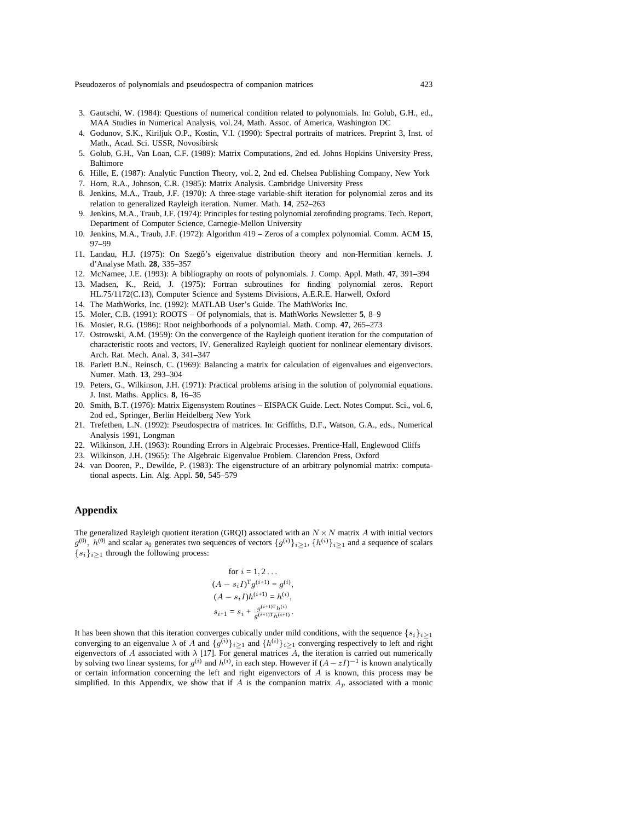Pseudozeros of polynomials and pseudospectra of companion matrices 423

- 3. Gautschi, W. (1984): Questions of numerical condition related to polynomials. In: Golub, G.H., ed., MAA Studies in Numerical Analysis, vol. 24, Math. Assoc. of America, Washington DC
- 4. Godunov, S.K., Kiriljuk O.P., Kostin, V.I. (1990): Spectral portraits of matrices. Preprint 3, Inst. of Math., Acad. Sci. USSR, Novosibirsk
- 5. Golub, G.H., Van Loan, C.F. (1989): Matrix Computations, 2nd ed. Johns Hopkins University Press, Baltimore
- 6. Hille, E. (1987): Analytic Function Theory, vol. 2, 2nd ed. Chelsea Publishing Company, New York
- 7. Horn, R.A., Johnson, C.R. (1985): Matrix Analysis. Cambridge University Press
- 8. Jenkins, M.A., Traub, J.F. (1970): A three-stage variable-shift iteration for polynomial zeros and its relation to generalized Rayleigh iteration. Numer. Math. **14**, 252–263
- 9. Jenkins, M.A., Traub, J.F. (1974): Principles for testing polynomial zerofinding programs. Tech. Report, Department of Computer Science, Carnegie-Mellon University
- 10. Jenkins, M.A., Traub, J.F. (1972): Algorithm 419 Zeros of a complex polynomial. Comm. ACM **15**, 97–99
- 11. Landau, H.J. (1975): On Szegő's eigenvalue distribution theory and non-Hermitian kernels. J. d'Analyse Math. **28**, 335–357
- 12. McNamee, J.E. (1993): A bibliography on roots of polynomials. J. Comp. Appl. Math. **47**, 391–394
- 13. Madsen, K., Reid, J. (1975): Fortran subroutines for finding polynomial zeros. Report HL.75/1172(C.13), Computer Science and Systems Divisions, A.E.R.E. Harwell, Oxford
- 14. The MathWorks, Inc. (1992): MATLAB User's Guide. The MathWorks Inc.
- 15. Moler, C.B. (1991): ROOTS Of polynomials, that is. MathWorks Newsletter **5**, 8–9
- 16. Mosier, R.G. (1986): Root neighborhoods of a polynomial. Math. Comp. **47**, 265–273
- 17. Ostrowski, A.M. (1959): On the convergence of the Rayleigh quotient iteration for the computation of characteristic roots and vectors, IV. Generalized Rayleigh quotient for nonlinear elementary divisors. Arch. Rat. Mech. Anal. **3**, 341–347
- 18. Parlett B.N., Reinsch, C. (1969): Balancing a matrix for calculation of eigenvalues and eigenvectors. Numer. Math. **13**, 293–304
- 19. Peters, G., Wilkinson, J.H. (1971): Practical problems arising in the solution of polynomial equations. J. Inst. Maths. Applics. **8**, 16–35
- 20. Smith, B.T. (1976): Matrix Eigensystem Routines EISPACK Guide. Lect. Notes Comput. Sci., vol. 6, 2nd ed., Springer, Berlin Heidelberg New York
- 21. Trefethen, L.N. (1992): Pseudospectra of matrices. In: Griffiths, D.F., Watson, G.A., eds., Numerical Analysis 1991, Longman
- 22. Wilkinson, J.H. (1963): Rounding Errors in Algebraic Processes. Prentice-Hall, Englewood Cliffs
- 23. Wilkinson, J.H. (1965): The Algebraic Eigenvalue Problem. Clarendon Press, Oxford
- 24. van Dooren, P., Dewilde, P. (1983): The eigenstructure of an arbitrary polynomial matrix: computational aspects. Lin. Alg. Appl. **50**, 545–579

## **Appendix**

The generalized Rayleigh quotient iteration (GRQI) associated with an  $N \times N$  matrix A with initial vectors  $g^{(0)}$ ,  $h^{(0)}$  and scalar  $s_0$  generates two sequences of vectors  $\{g^{(i)}\}_{i\geq 1}$ ,  $\{h^{(i)}\}_{i\geq 1}$  and a sequence of scalars  ${s_i}_{i \geq 1}$  through the following process:

$$
\begin{aligned} &\text{for } i=1,2\ldots\\ &(A-s_iI)^\text{T}g^{(i+1)}=g^{(i)},\\ &(A-s_iI)h^{(i+1)}=h^{(i)},\\ &s_{i+1}=s_i+\frac{g^{(i+1)\text{T}}h^{(i)}}{g^{(i+1)\text{T}}h^{(i+1)}}. \end{aligned}
$$

It has been shown that this iteration converges cubically under mild conditions, with the sequence  $\{s_i\}_{i\geq 1}$ converging to an eigenvalue  $\lambda$  of A and  $\{g^{(i)}\}_{i\geq 1}$  and  $\{h^{(i)}\}_{i\geq 1}$  converging respectively to left and right eigenvectors of A associated with  $\lambda$  [17]. For general matrices A, the iteration is carried out numerically by solving two linear systems, for  $g^{(i)}$  and  $h^{(i)}$ , in each step. However if  $(A - zI)^{-1}$  is known analytically or certain information concerning the left and right eigenvectors of A is known, this process may be simplified. In this Appendix, we show that if  $A$  is the companion matrix  $A_p$  associated with a monic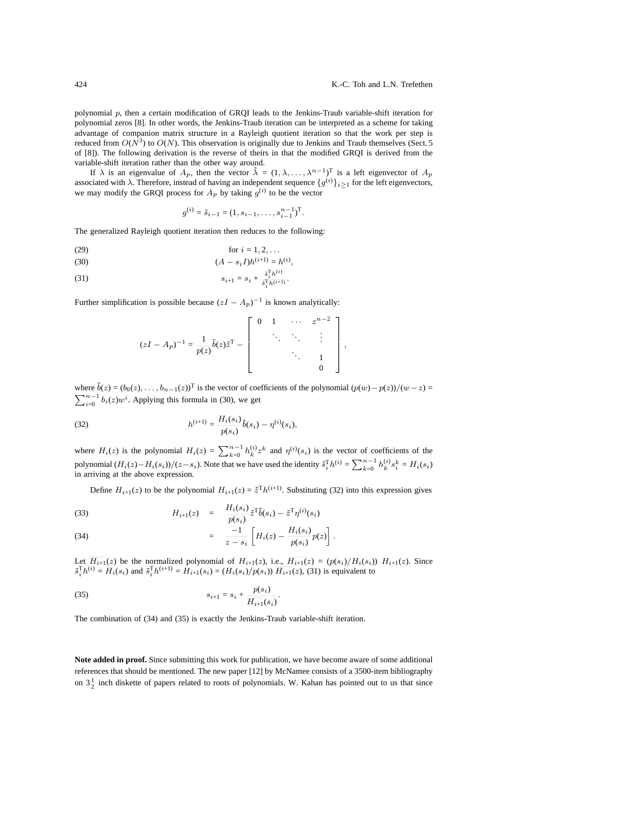polynomial p, then a certain modification of GRQI leads to the Jenkins-Traub variable-shift iteration for polynomial zeros [8]. In other words, the Jenkins-Traub iteration can be interpreted as a scheme for taking advantage of companion matrix structure in a Rayleigh quotient iteration so that the work per step is reduced from  $O(N^3)$  to  $O(N)$ . This observation is originally due to Jenkins and Traub themselves (Sect. 5 of [8]). The following derivation is the reverse of theirs in that the modified GRQI is derived from the variable-shift iteration rather than the other way around.

If  $\lambda$  is an eigenvalue of  $A_p$ , then the vector  $\tilde{\lambda} = (1, \lambda, \dots, \lambda^{n-1})^T$  is a left eigenvector of  $A_p$ associated with  $\lambda$ . Therefore, instead of having an independent sequence  $\{g^{(i)}\}_{i\geq 1}$  for the left eigenvectors, we may modify the GRQI process for  $A_p$  by taking  $g^{(i)}$  to be the vector

$$
g^{(i)} = \tilde{s}_{i-1} = (1, s_{i-1}, \dots, s_{i-1}^{n-1})^{\mathrm{T}}.
$$

The generalized Rayleigh quotient iteration then reduces to the following:

(29) for 
$$
i = 1, 2, ...
$$

(30) 
$$
(A - s_i I)h^{(i+1)} = h^{(i)},
$$

(31) 
$$
s_{i+1} = s_i + \frac{\tilde{s}_i^{\mathrm{T}} h^{(i)}}{\tilde{s}_i^{\mathrm{T}} h^{(i+1)}}.
$$

Further simplification is possible because  $(zI - A_p)^{-1}$  is known analytically:

$$
(zI - A_p)^{-1} = \frac{1}{p(z)} \tilde{b}(z) \tilde{z}^{\mathrm{T}} - \begin{bmatrix} 0 & 1 & \cdots & z^{n-2} \\ & \ddots & \ddots & \vdots \\ & & \ddots & 1 \\ & & & 0 \end{bmatrix},
$$

where  $\tilde{b}(z)=(b_0(z),\ldots,b_{n-1}(z))^T$  is the vector of coefficients of the polynomial  $(p(w)-p(z))/(w-z)$  $\sum_{i=0}^{n-1} b_i(z) w^i$ . Applying this formula in (30), we get

(32) 
$$
h^{(i+1)} = \frac{H_i(s_i)}{p(s_i)} \tilde{b}(s_i) - \eta^{(i)}(s_i),
$$

where  $H_i(z)$  is the polynomial  $H_i(z) = \sum_{k=0}^{n-1} h_k^{(i)} z^k$  and  $\eta^{(i)}(s_i)$  is the vector of coefficients of the polynomial  $(H_i(z) - H_i(s_i))/(z - s_i)$ . Note that we have used the identity  $\tilde{s}_i^T h^{(i)} = \sum_{k=0}^{n-1} h_k^{(i)} s_i^k = H_i(s_i)$ in arriving at the above expression.

Define  $H_{i+1}(z)$  to be the polynomial  $H_{i+1}(z) = \tilde{z}^{\mathrm{T}} h^{(i+1)}$ . Substituting (32) into this expression gives

(33) 
$$
H_{i+1}(z) = \frac{H_i(s_i)}{p(s_i)} \tilde{z}^{\mathrm{T}} \tilde{b}(s_i) - \tilde{z}^{\mathrm{T}} \eta^{(i)}(s_i)
$$

(34) 
$$
= \frac{-1}{z-s_i} \left[ H_i(z) - \frac{H_i(s_i)}{p(s_i)} p(z) \right].
$$

Let  $H_{i+1}(z)$  be the normalized polynomial of  $H_{i+1}(z)$ , i.e.,  $H_{i+1}(z)=(p(s_i)/H_i(s_i))$   $H_{i+1}(z)$ . Since  $\tilde{s}_i^{\text{T}} h^{(i)} = H_i(s_i)$  and  $\tilde{s}_i^{\text{T}} h^{(i+1)} = H_{i+1}(s_i) = (H_i(s_i) / p(s_i)) \overline{H_{i+1}}(z)$ , (31) is equivalent to

(35) 
$$
s_{i+1} = s_i + \frac{p(s_i)}{\overline{H_{i+1}}(s_i)}.
$$

The combination of (34) and (35) is exactly the Jenkins-Traub variable-shift iteration.

Note added in proof. Since submitting this work for publication, we have become aware of some additional references that should be mentioned. The new paper [12] by McNamee consists of a 3500-item bibliography on  $3\frac{1}{2}$  inch diskette of papers related to roots of polynomials. W. Kahan has pointed out to us that since